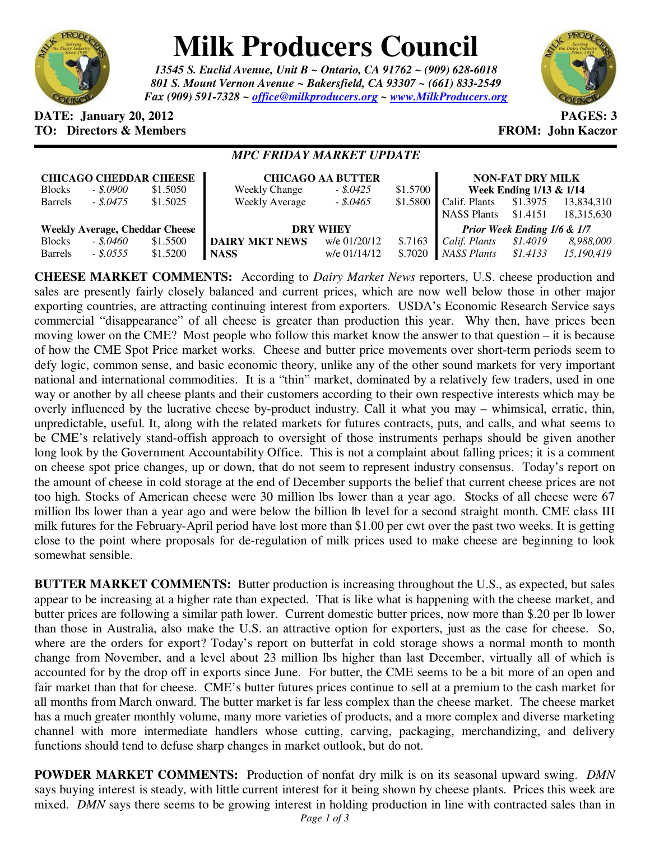

## **Milk Producers Council**

*13545 S. Euclid Avenue, Unit B ~ Ontario, CA 91762 ~ (909) 628-6018 801 S. Mount Vernon Avenue ~ Bakersfield, CA 93307 ~ (661) 833-2549 Fax (909) 591-7328 ~ office@milkproducers.org ~ www.MilkProducers.org*



## **DATE: January 20, 2012 PAGES: 3 TO: Directors & Members TO: Piccore All Members FROM: John Kaczor**

## *MPC FRIDAY MARKET UPDATE*

| <b>CHICAGO CHEDDAR CHEESE</b>         |            |          | <b>CHICAGO AA BUTTER</b> |              |          | <b>NON-FAT DRY MILK</b>     |          |            |
|---------------------------------------|------------|----------|--------------------------|--------------|----------|-----------------------------|----------|------------|
| <b>Blocks</b>                         | $-.5,0900$ | \$1.5050 | <b>Weekly Change</b>     | $-.5.0425$   | \$1.5700 | Week Ending 1/13 & 1/14     |          |            |
| <b>Barrels</b>                        | $-.5.0475$ | \$1.5025 | <b>Weekly Average</b>    | $-.5.0465$   | \$1.5800 | Calif. Plants               | \$1.3975 | 13,834,310 |
|                                       |            |          |                          |              |          | <b>NASS Plants</b>          | \$1.4151 | 18,315,630 |
| <b>Weekly Average, Cheddar Cheese</b> |            |          | <b>DRY WHEY</b>          |              |          | Prior Week Ending 1/6 & 1/7 |          |            |
| <b>Blocks</b>                         | $-.5,0460$ | \$1.5500 | <b>DAIRY MKT NEWS</b>    | w/e 01/20/12 | \$.7163  | Calif. Plants               | \$1.4019 | 8,988,000  |
| <b>Barrels</b>                        | $-.5.0555$ | \$1.5200 | <b>NASS</b>              | w/e 01/14/12 | \$.7020  | NASS Plants                 | \$1.4133 | 15,190,419 |

**CHEESE MARKET COMMENTS:** According to *Dairy Market News* reporters, U.S. cheese production and sales are presently fairly closely balanced and current prices, which are now well below those in other major exporting countries, are attracting continuing interest from exporters. USDA's Economic Research Service says commercial "disappearance" of all cheese is greater than production this year. Why then, have prices been moving lower on the CME? Most people who follow this market know the answer to that question – it is because of how the CME Spot Price market works. Cheese and butter price movements over short-term periods seem to defy logic, common sense, and basic economic theory, unlike any of the other sound markets for very important national and international commodities. It is a "thin" market, dominated by a relatively few traders, used in one way or another by all cheese plants and their customers according to their own respective interests which may be overly influenced by the lucrative cheese by-product industry. Call it what you may – whimsical, erratic, thin, unpredictable, useful. It, along with the related markets for futures contracts, puts, and calls, and what seems to be CME's relatively stand-offish approach to oversight of those instruments perhaps should be given another long look by the Government Accountability Office. This is not a complaint about falling prices; it is a comment on cheese spot price changes, up or down, that do not seem to represent industry consensus. Today's report on the amount of cheese in cold storage at the end of December supports the belief that current cheese prices are not too high. Stocks of American cheese were 30 million lbs lower than a year ago. Stocks of all cheese were 67 million lbs lower than a year ago and were below the billion lb level for a second straight month. CME class III milk futures for the February-April period have lost more than \$1.00 per cwt over the past two weeks. It is getting close to the point where proposals for de-regulation of milk prices used to make cheese are beginning to look somewhat sensible.

**BUTTER MARKET COMMENTS:** Butter production is increasing throughout the U.S., as expected, but sales appear to be increasing at a higher rate than expected. That is like what is happening with the cheese market, and butter prices are following a similar path lower. Current domestic butter prices, now more than \$.20 per lb lower than those in Australia, also make the U.S. an attractive option for exporters, just as the case for cheese. So, where are the orders for export? Today's report on butterfat in cold storage shows a normal month to month change from November, and a level about 23 million lbs higher than last December, virtually all of which is accounted for by the drop off in exports since June. For butter, the CME seems to be a bit more of an open and fair market than that for cheese. CME's butter futures prices continue to sell at a premium to the cash market for all months from March onward. The butter market is far less complex than the cheese market. The cheese market has a much greater monthly volume, many more varieties of products, and a more complex and diverse marketing channel with more intermediate handlers whose cutting, carving, packaging, merchandizing, and delivery functions should tend to defuse sharp changes in market outlook, but do not.

**POWDER MARKET COMMENTS:** Production of nonfat dry milk is on its seasonal upward swing. *DMN* says buying interest is steady, with little current interest for it being shown by cheese plants. Prices this week are mixed. *DMN* says there seems to be growing interest in holding production in line with contracted sales than in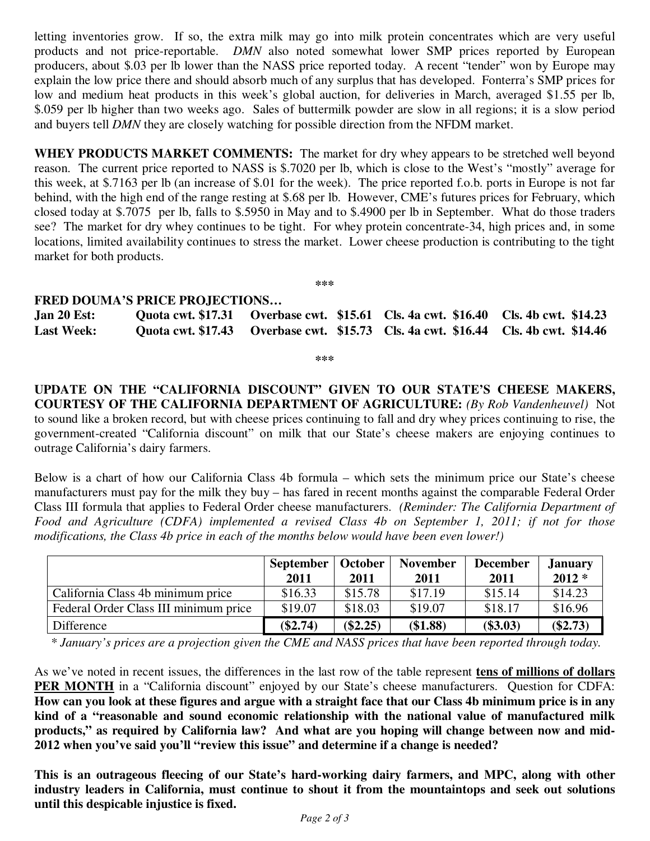letting inventories grow. If so, the extra milk may go into milk protein concentrates which are very useful products and not price-reportable. *DMN* also noted somewhat lower SMP prices reported by European producers, about \$.03 per lb lower than the NASS price reported today. A recent "tender" won by Europe may explain the low price there and should absorb much of any surplus that has developed. Fonterra's SMP prices for low and medium heat products in this week's global auction, for deliveries in March, averaged \$1.55 per lb, \$.059 per lb higher than two weeks ago. Sales of buttermilk powder are slow in all regions; it is a slow period and buyers tell *DMN* they are closely watching for possible direction from the NFDM market.

**WHEY PRODUCTS MARKET COMMENTS:** The market for dry whey appears to be stretched well beyond reason. The current price reported to NASS is \$.7020 per lb, which is close to the West's "mostly" average for this week, at \$.7163 per lb (an increase of \$.01 for the week). The price reported f.o.b. ports in Europe is not far behind, with the high end of the range resting at \$.68 per lb. However, CME's futures prices for February, which closed today at \$.7075 per lb, falls to \$.5950 in May and to \$.4900 per lb in September. What do those traders see? The market for dry whey continues to be tight. For whey protein concentrate-34, high prices and, in some locations, limited availability continues to stress the market. Lower cheese production is contributing to the tight market for both products.

**\*\*\*** 

## **FRED DOUMA'S PRICE PROJECTIONS…**

| Jan $20$ Est:     |  | Quota cwt. \$17.31 Overbase cwt. \$15.61 Cls. 4a cwt. \$16.40 Cls. 4b cwt. \$14.23 |  |
|-------------------|--|------------------------------------------------------------------------------------|--|
| <b>Last Week:</b> |  | Quota cwt. \$17.43 Overbase cwt. \$15.73 Cls. 4a cwt. \$16.44 Cls. 4b cwt. \$14.46 |  |

**\*\*\*** 

**UPDATE ON THE "CALIFORNIA DISCOUNT" GIVEN TO OUR STATE'S CHEESE MAKERS, COURTESY OF THE CALIFORNIA DEPARTMENT OF AGRICULTURE:** *(By Rob Vandenheuvel)* Not to sound like a broken record, but with cheese prices continuing to fall and dry whey prices continuing to rise, the government-created "California discount" on milk that our State's cheese makers are enjoying continues to outrage California's dairy farmers.

Below is a chart of how our California Class 4b formula – which sets the minimum price our State's cheese manufacturers must pay for the milk they buy – has fared in recent months against the comparable Federal Order Class III formula that applies to Federal Order cheese manufacturers. *(Reminder: The California Department of Food and Agriculture (CDFA) implemented a revised Class 4b on September 1, 2011; if not for those modifications, the Class 4b price in each of the months below would have been even lower!)*

|                                       | <b>September</b><br>2011 | October<br>2011 | <b>November</b><br>2011 | <b>December</b><br>2011 | <b>January</b><br>$2012*$ |
|---------------------------------------|--------------------------|-----------------|-------------------------|-------------------------|---------------------------|
| California Class 4b minimum price     | \$16.33                  | \$15.78         | \$17.19                 | \$15.14                 | \$14.23                   |
| Federal Order Class III minimum price | \$19.07                  | \$18.03         | \$19.07                 | \$18.17                 | \$16.96                   |
| Difference                            | $(\$2.74)$               | $(\$2.25)$      | (\$1.88)                | $(\$3.03)$              | $(\$2.73)$                |

 *\* January's prices are a projection given the CME and NASS prices that have been reported through today.* 

As we've noted in recent issues, the differences in the last row of the table represent **tens of millions of dollars PER MONTH** in a "California discount" enjoyed by our State's cheese manufacturers. Question for CDFA: **How can you look at these figures and argue with a straight face that our Class 4b minimum price is in any kind of a "reasonable and sound economic relationship with the national value of manufactured milk products," as required by California law? And what are you hoping will change between now and mid-2012 when you've said you'll "review this issue" and determine if a change is needed?**

**This is an outrageous fleecing of our State's hard-working dairy farmers, and MPC, along with other industry leaders in California, must continue to shout it from the mountaintops and seek out solutions until this despicable injustice is fixed.**